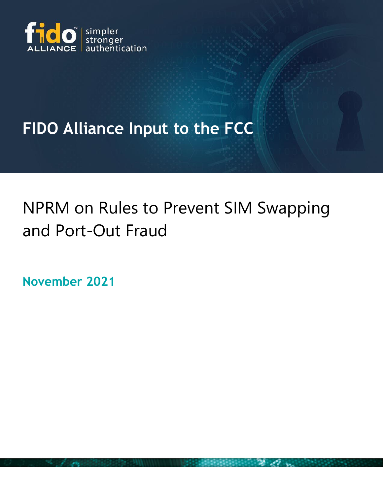

## **FIDO Alliance Input to the FCC**

## NPRM on Rules to Prevent SIM Swapping and Port-Out Fraud

**November 2021**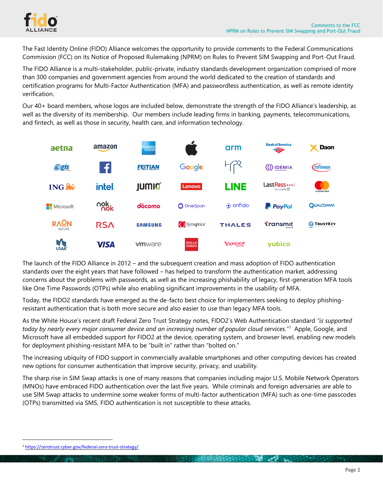

The Fast Identity Online (FIDO) Alliance welcomes the opportunity to provide comments to the Federal Communications Commission (FCC) on its Notice of Proposed Rulemaking (NPRM) on Rules to Prevent SIM Swapping and Port-Out Fraud.

The FIDO Alliance is a multi-stakeholder, public-private, industry standards development organization comprised of more than 300 companies and government agencies from around the world dedicated to the creation of standards and certification programs for Multi-Factor Authentication (MFA) and passwordless authentication, as well as remote identity verification.

Our 40+ board members, whose logos are included below, demonstrate the strength of the FIDO Alliance's leadership, as well as the diversity of its membership. Our members include leading firms in banking, payments, telecommunications, and fintech, as well as those in security, health care, and information technology.



The launch of the FIDO Alliance in 2012 – and the subsequent creation and mass adoption of FIDO authentication standards over the eight years that have followed – has helped to transform the authentication market, addressing concerns about the problems with passwords, as well as the increasing phishability of legacy, first-generation MFA tools like One Time Passwords (OTPs) while also enabling significant improvements in the usability of MFA.

Today, the FIDO2 standards have emerged as the de-facto best choice for implementers seeking to deploy phishingresistant authentication that is both more secure and also easier to use than legacy MFA tools.

As the White House's recent draft Federal Zero Trust Strategy notes, FIDO2's Web Authentication standard *"is supported today by nearly every major consumer device and an increasing number of popular cloud services."<sup>1</sup>* Apple, Google, and Microsoft have all embedded support for FIDO2 at the device, operating system, and browser level, enabling new models for deployment phishing-resistant MFA to be "built in" rather than "bolted on."

The increasing ubiquity of FIDO support in commercially available smartphones and other computing devices has created new options for consumer authentication that improve security, privacy, and usability.

The sharp rise in SIM Swap attacks is one of many reasons that companies including major U.S. Mobile Network Operators (MNOs) have embraced FIDO authentication over the last five years. While criminals and foreign adversaries are able to use SIM Swap attacks to undermine some weaker forms of multi-factor authentication (MFA) such as one-time passcodes (OTPs) transmitted via SMS, FIDO authentication is not susceptible to these attacks.

<sup>1</sup> <https://zerotrust.cyber.gov/federal-zero-trust-strategy/>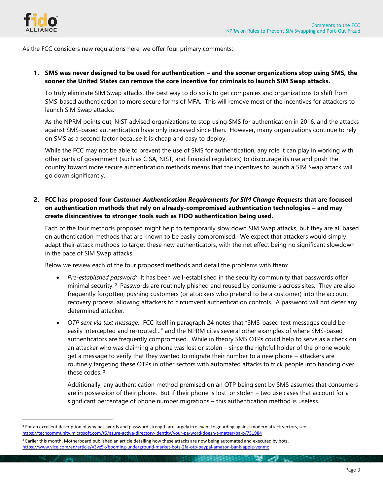

As the FCC considers new regulations here, we offer four primary comments:

**1. SMS was never designed to be used for authentication – and the sooner organizations stop using SMS, the sooner the United States can remove the core incentive for criminals to launch SIM Swap attacks.** 

To truly eliminate SIM Swap attacks, the best way to do so is to get companies and organizations to shift from SMS-based authentication to more secure forms of MFA. This will remove most of the incentives for attackers to launch SIM Swap attacks.

As the NPRM points out, NIST advised organizations to stop using SMS for authentication in 2016, and the attacks against SMS-based authentication have only increased since then. However, many organizations continue to rely on SMS as a second factor because it is cheap and easy to deploy.

While the FCC may not be able to prevent the use of SMS for authentication, any role it can play in working with other parts of government (such as CISA, NIST, and financial regulators) to discourage its use and push the country toward more secure authentication methods means that the incentives to launch a SIM Swap attack will go down significantly.

**2. FCC has proposed four** *Customer Authentication Requirements for SIM Change Requests* **that are focused on authentication methods that rely on already-compromised authentication technologies – and may create disincentives to stronger tools such as FIDO authentication being used.** 

Each of the four methods proposed might help to temporarily slow down SIM Swap attacks, but they are all based on authentication methods that are known to be easily compromised. We expect that attackers would simply adapt their attack methods to target these new authenticators, with the net effect being no significant slowdown in the pace of SIM Swap attacks.

Below we review each of the four proposed methods and detail the problems with them:

- *Pre-established password:* It has been well-established in the security community that passwords offer minimal security. <sup>2</sup> Passwords are routinely phished and reused by consumers across sites. They are also frequently forgotten, pushing customers (or attackers who pretend to be a customer) into the account recovery process, allowing attackers to circumvent authentication controls. A password will not deter any determined attacker.
- *OTP sent via text message:* FCC itself in paragraph 24 notes that "SMS-based text messages could be easily intercepted and re-routed…" and the NPRM cites several other examples of where SMS-based authenticators are frequently compromised. While in theory SMS OTPs could help to serve as a check on an attacker who was claiming a phone was lost or stolen – since the rightful holder of the phone would get a message to verify that they wanted to migrate their number to a new phone – attackers are routinely targeting these OTPs in other sectors with automated attacks to trick people into handing over these codes. <sup>3</sup>

Additionally, any authentication method premised on an OTP being sent by SMS assumes that consumers are in possession of their phone. But if their phone is lost or stolen – two use cases that account for a significant percentage of phone number migrations – this authentication method is useless.

فأجعبه

<sup>&</sup>lt;sup>2</sup> For an excellent description of why passwords and password strength are largely irrelevant to guarding against modern attack vectors, see <https://techcommunity.microsoft.com/t5/azure-active-directory-identity/your-pa-word-doesn-t-matter/ba-p/731984>

 $3$  Earlier this month. Motherboard published an article detailing how these attacks are now being automated and executed by bots. <https://www.vice.com/en/article/y3vz5k/booming-underground-market-bots-2fa-otp-paypal-amazon-bank-apple-venmo>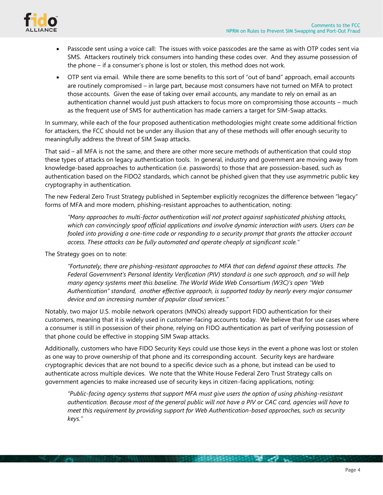

- Passcode sent using a voice call: The issues with voice passcodes are the same as with OTP codes sent via SMS. Attackers routinely trick consumers into handing these codes over. And they assume possession of the phone – if a consumer's phone is lost or stolen, this method does not work.
- OTP sent via email. While there are some benefits to this sort of "out of band" approach, email accounts are routinely compromised – in large part, because most consumers have not turned on MFA to protect those accounts. Given the ease of taking over email accounts, any mandate to rely on email as an authentication channel would just push attackers to focus more on compromising those accounts – much as the frequent use of SMS for authentication has made carriers a target for SIM-Swap attacks.

In summary, while each of the four proposed authentication methodologies might create some additional friction for attackers, the FCC should not be under any illusion that any of these methods will offer enough security to meaningfully address the threat of SIM Swap attacks.

That said – all MFA is not the same, and there are other more secure methods of authentication that could stop these types of attacks on legacy authentication tools. In general, industry and government are moving away from knowledge-based approaches to authentication (i.e. passwords) to those that are possession-based, such as authentication based on the FIDO2 standards, which cannot be phished given that they use asymmetric public key cryptography in authentication.

The new Federal Zero Trust Strategy published in September explicitly recognizes the difference between "legacy" forms of MFA and more modern, phishing-resistant approaches to authentication, noting:

*"Many approaches to multi-factor authentication will not protect against sophisticated phishing attacks, which can convincingly spoof official applications and involve dynamic interaction with users. Users can be fooled into providing a one-time code or responding to a security prompt that grants the attacker account access. These attacks can be fully automated and operate cheaply at significant scale."*

The Strategy goes on to note:

*"Fortunately, there are phishing-resistant approaches to MFA that can defend against these attacks. The Federal Government's Personal Identity Verification (PIV) standard is one such approach, and so will help many agency systems meet this baseline. The World Wide Web Consortium (W3C)'s open "Web Authentication" standard, another effective approach, is supported today by nearly every major consumer device and an increasing number of popular cloud services."* 

Notably, two major U.S. mobile network operators (MNOs) already support FIDO authentication for their customers, meaning that it is widely used in customer-facing accounts today. We believe that for use cases where a consumer is still in possession of their phone, relying on FIDO authentication as part of verifying possession of that phone could be effective in stopping SIM Swap attacks.

Additionally, customers who have FIDO Security Keys could use those keys in the event a phone was lost or stolen as one way to prove ownership of that phone and its corresponding account. Security keys are hardware cryptographic devices that are not bound to a specific device such as a phone, but instead can be used to authenticate across multiple devices. We note that the White House Federal Zero Trust Strategy calls on government agencies to make increased use of security keys in citizen-facing applications, noting:

*"Public-facing agency systems that support MFA must give users the option of using phishing-resistant authentication. Because most of the general public will not have a PIV or CAC card, agencies will have to meet this requirement by providing support for Web Authentication-based approaches, such as security keys."*

*CARD CONTRACTOR COMPANY AND STATE OF THE COMPANY AND STATE OF THE COMPANY AND STATE OF THE COMPANY AND STATE*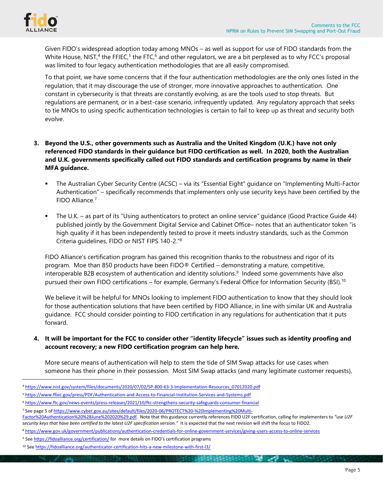

Given FIDO's widespread adoption today among MNOs – as well as support for use of FIDO standards from the White House, NIST,<sup>4</sup> the FFIEC,<sup>5</sup> the FTC,<sup>6</sup> and other regulators, we are a bit perplexed as to why FCC's proposal was limited to four legacy authentication methodologies that are all easily compromised.

To that point, we have some concerns that if the four authentication methodologies are the only ones listed in the regulation, that it may discourage the use of stronger, more innovative approaches to authentication. One constant in cybersecurity is that threats are constantly evolving, as are the tools used to stop threats. But regulations are permanent, or in a best-case scenario, infrequently updated. Any regulatory approach that seeks to tie MNOs to using specific authentication technologies is certain to fail to keep up as threat and security both evolve.

- **3. Beyond the U.S., other governments such as Australia and the United Kingdom (U.K.) have not only referenced FIDO standards in their guidance but FIDO certification as well. In 2020, both the Australian and U.K. governments specifically called out FIDO standards and certification programs by name in their MFA guidance.** 
	- The Australian Cyber Security Centre (ACSC) via its "Essential Eight" guidance on "Implementing Multi-Factor Authentication" – specifically recommends that implementers only use security keys have been certified by the FIDO Alliance.<sup>7</sup>
	- The U.K. as part of its "Using authenticators to protect an online service" guidance (Good Practice Guide 44) published jointly by the Government Digital Service and Cabinet Office– notes that an authenticator token "is high quality if it has been independently tested to prove it meets industry standards, such as the Common Criteria guidelines, FIDO or NIST FIPS 140-2."<sup>8</sup>

FIDO Alliance's certification program has gained this recognition thanks to the robustness and rigor of its program. Moe than 850 products have been FIDO® Certified – demonstrating a mature, competitive, interoperable B2B ecosystem of authentication and identity solutions.<sup>9</sup> Indeed some governments have also pursued their own FIDO certifications – for example, Germany's Federal Office for Information Security (BSI).<sup>10</sup>

We believe it will be helpful for MNOs looking to implement FIDO authentication to know that they should look for those authentication solutions that have been certified by FIDO Alliance, in line with similar UK and Australia guidance. FCC should consider pointing to FIDO certification in any regulations for authentication that it puts forward.

## **4. It will be important for the FCC to consider other "identity lifecycle" issues such as identity proofing and account recovery; a new FIDO certification program can help here.**

More secure means of authentication will help to stem the tide of SIM Swap attacks for use cases when someone has their phone in their possession. Most SIM Swap attacks (and many legitimate customer requests),

<sup>4</sup> [https://www.nist.gov/system/files/documents/2020/07/02/SP-800-63-3-Implementation-Resources\\_07012020.pdf](https://www.nist.gov/system/files/documents/2020/07/02/SP-800-63-3-Implementation-Resources_07012020.pdf)

<sup>5</sup> <https://www.ffiec.gov/press/PDF/Authentication-and-Access-to-Financial-Institution-Services-and-Systems.pdf>

<sup>6</sup> <https://www.ftc.gov/news-events/press-releases/2021/10/ftc-strengthens-security-safeguards-consumer-financial>

<sup>7</sup> See page 5 of [https://www.cyber.gov.au/sites/default/files/2020-06/PROTECT%20-%20Implementing%20Multi-](https://www.cyber.gov.au/sites/default/files/2020-06/PROTECT%20-%20Implementing%20Multi-Factor%20Authentication%20%28June%202020%29.pdf)

[Factor%20Authentication%20%28June%202020%29.pdf.](https://www.cyber.gov.au/sites/default/files/2020-06/PROTECT%20-%20Implementing%20Multi-Factor%20Authentication%20%28June%202020%29.pdf) Note that this guidance currently references FIDO U2F certification, calling for implementers to *"use U2F* security keys that have been certified to the latest U2F specification version." It is expected that the next revision will shift the focus to FIDO2.

<sup>8</sup> <https://www.gov.uk/government/publications/authentication-credentials-for-online-government-services/giving-users-access-to-online-services>

<sup>9</sup> See <https://fidoalliance.org/certification/> for more details on FIDO's certification programs

<sup>10</sup> See <https://fidoalliance.org/authenticator-certification-hits-a-new-milestone-with-first-l3/>